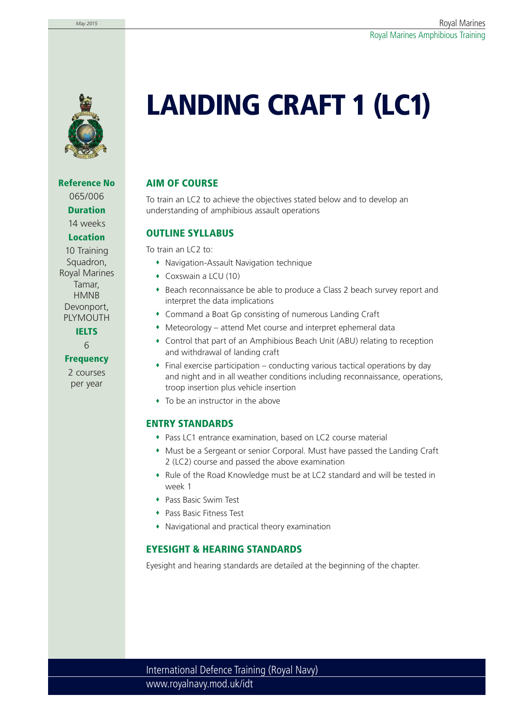

**Reference No** 065/006 **Duration** 14 weeks

#### **Location**

10 Training Squadron, Royal Marines Tamar, **HMNB** Devonport, PLYMOUTH

**IELTS**

6

#### **Frequency**

2 courses per year

# **LANDING CRAFT 1 (LC1)**

### **AIM OF COURSE**

To train an LC2 to achieve the objectives stated below and to develop an understanding of amphibious assault operations

#### **OUTLINE SYLLABUS**

To train an LC2 to:

- Navigation-Assault Navigation technique
- Coxswain a LCU (10)
- Beach reconnaissance be able to produce a Class 2 beach survey report and interpret the data implications
- Command a Boat Gp consisting of numerous Landing Craft
- Meteorology attend Met course and interpret ephemeral data
- Control that part of an Amphibious Beach Unit (ABU) relating to reception and withdrawal of landing craft
- $\bullet$  Final exercise participation conducting various tactical operations by day and night and in all weather conditions including reconnaissance, operations, troop insertion plus vehicle insertion
- To be an instructor in the above

#### **ENTRY STANDARDS**

- Pass LC1 entrance examination, based on LC2 course material
- Must be a Sergeant or senior Corporal. Must have passed the Landing Craft 2 (LC2) course and passed the above examination
- Rule of the Road Knowledge must be at LC2 standard and will be tested in week 1
- Pass Basic Swim Test
- Pass Basic Fitness Test
- Navigational and practical theory examination

#### **EYESIGHT & HEARING STANDARDS**

Eyesight and hearing standards are detailed at the beginning of the chapter.

www.royalnavy.mod.uk/idt International Defence Training (Royal Navy)